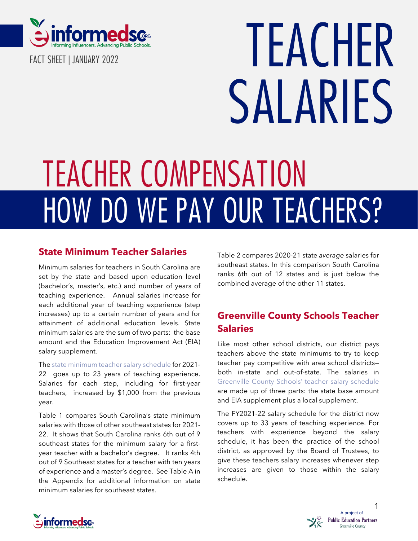

**FACT SHEET | JANUARY 2022**

# **TEACHER SALARIES**

# **HOW DO WE PAY OUR TEACHERS? TEACHER COMPENSATION**

## **State Minimum Teacher Salaries**

Minimum salaries for teachers in South Carolina are set by the state and based upon education level (bachelor's, master's, etc.) and number of years of teaching experience. Annual salaries increase for each additional year of teaching experience (step increases) up to a certain number of years and for attainment of additional education levels. State minimum salaries are the sum of two parts: the base amount and the Education Improvement Act (EIA) salary supplement.

The state [minimum](https://ed.sc.gov/finance/financial-data/historical-data/teacher-salary-schedules/) teacher salary schedule for 2021- 22 goes up to 23 years of teaching experience. Salaries for each step, including for first-year teachers, increased by \$1,000 from the previous year.

Table 1 compares South Carolina's state minimum salaries with those of other southeast states for 2021- 22. It shows that South Carolina ranks 6th out of 9 southeast states for the minimum salary for a firstyear teacher with a bachelor's degree. It ranks 4th out of 9 Southeast states for a teacher with ten years of experience and a master's degree. See Table A in the Appendix for additional information on state minimum salaries for southeast states.

Table 2 compares 2020-21 state *average* salaries for southeast states. In this comparison South Carolina ranks 6th out of 12 states and is just below the combined average of the other 11 states.

# **Greenville County Schools Teacher Salaries**

Like most other school districts, our district pays teachers above the state minimums to try to keep teacher pay competitive with area school districts both in-state and out-of-state. The salaries in [Greenville](https://sites.google.com/greenvilleschools.us/employees/resources/payroll/salaries-and-pay-schedules) County Schools' teacher salary schedule are made up of three parts: the state base amount and EIA supplement plus a local supplement.

The FY2021-22 salary schedule for the district now covers up to 33 years of teaching experience. For teachers with experience beyond the salary schedule, it has been the practice of the school district, as approved by the Board of Trustees, to give these teachers salary increases whenever step increases are given to those within the salary schedule.



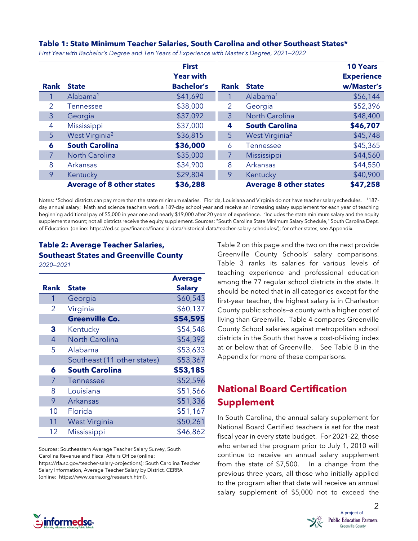#### **Table 1: State Minimum Teacher Salaries, South Carolina and other Southeast States\***

|             |                                  | <b>First</b>      |             |                               | <b>10 Years</b>   |
|-------------|----------------------------------|-------------------|-------------|-------------------------------|-------------------|
|             |                                  | <b>Year with</b>  |             |                               | <b>Experience</b> |
| <b>Rank</b> | <b>State</b>                     | <b>Bachelor's</b> | <b>Rank</b> | <b>State</b>                  | w/Master's        |
|             | Alabama <sup>1</sup>             | \$41,690          |             | Alabama <sup>1</sup>          | \$56,144          |
| 2           | Tennessee                        | \$38,000          | 2           | Georgia                       | \$52,396          |
| 3           | Georgia                          | \$37,092          | 3           | <b>North Carolina</b>         | \$48,400          |
| 4           | Mississippi                      | \$37,000          | 4           | <b>South Carolina</b>         | \$46,707          |
| 5           | West Virginia <sup>2</sup>       | \$36,815          | 5           | West Virginia <sup>2</sup>    | \$45,748          |
| 6           | <b>South Carolina</b>            | \$36,000          | 6           | <b>Tennessee</b>              | \$45,365          |
| 7           | <b>North Carolina</b>            | \$35,000          | 7           | Mississippi                   | \$44,560          |
| 8           | Arkansas                         | \$34,900          | 8           | Arkansas                      | \$44,550          |
| 9           | Kentucky                         | \$29,804          | 9           | Kentucky                      | \$40,900          |
|             | <b>Average of 8 other states</b> | \$36,288          |             | <b>Average 8 other states</b> | \$47,258          |

*First Year with Bachelor's Degree and Ten Years of Experience with Master's Degree, 2021—2022*

Notes: \*School districts can pay more than the state minimum salaries. Florida, Louisiana and Virginia do not have teacher salary schedules. <sup>1</sup>187 day annual salary; Math and science teachers work a 189-day school year and receive an increasing salary supplement for each year of teaching beginning additional pay of \$5,000 in year one and nearly \$19,000 after 20 years of experience. <sup>2</sup>Includes the state minimum salary and the equity supplement amount; not all districts receive the equity supplement. Sources: "South Carolina State Minimum Salary Schedule," South Carolina Dept. of Education. (online: [https://ed.sc.gov/finance/financial-data/historical-data/teacher-salary-schedules/\)](https://ed.sc.gov/finance/financial-data/historical-data/teacher-salary-schedules/); for other states, see Appendix.

### **Table 2: Average Teacher Salaries, Southeast States and Greenville County**

*2020—2021*

|      |                             | <b>Average</b> |
|------|-----------------------------|----------------|
| Rank | <b>State</b>                | <b>Salary</b>  |
| 1    | Georgia                     | \$60,543       |
| 2    | Virginia                    | \$60,137       |
|      | <b>Greenville Co.</b>       | \$54,595       |
| 3    | Kentucky                    | \$54,548       |
| 4    | <b>North Carolina</b>       | \$54,392       |
| 5    | Alabama                     | \$53,633       |
|      | Southeast (11 other states) | \$53,367       |
| 6    | <b>South Carolina</b>       | \$53,185       |
| 7    | <b>Tennessee</b>            | \$52,596       |
| 8    | Louisiana                   | \$51,566       |
| 9    | Arkansas                    | \$51,336       |
| 10   | Florida                     | \$51,167       |
| 11   | <b>West Virginia</b>        | \$50,261       |
| 12   | Mississippi                 | \$46,862       |

Sources: Southeastern Average Teacher Salary Survey, South Carolina Revenue and Fiscal Affairs Office (online: https://rfa.sc.gov/teacher-salary-projections); South Carolina Teacher Salary Information, Average Teacher Salary by District, CERRA (online: https://www.cerra.org/research.html).

Table 2 on this page and the two on the next provide Greenville County Schools' salary comparisons. Table 3 ranks its salaries for various levels of teaching experience and professional education among the 77 regular school districts in the state. It should be noted that in all categories except for the first-year teacher, the highest salary is in Charleston County public schools—a county with a higher cost of living than Greenville. Table 4 compares Greenville County School salaries against metropolitan school districts in the South that have a cost-of-living index at or below that of Greenville. See Table B in the Appendix for more of these comparisons.

# **National Board Certification Supplement**

In South Carolina, the annual salary supplement for National Board Certified teachers is set for the next fiscal year in every state budget. For 2021-22, those who entered the program prior to July 1, 2010 will continue to receive an annual salary supplement from the state of \$7,500. In a change from the previous three years, all those who initially applied to the program after that date will receive an annual salary supplement of \$5,000 not to exceed the



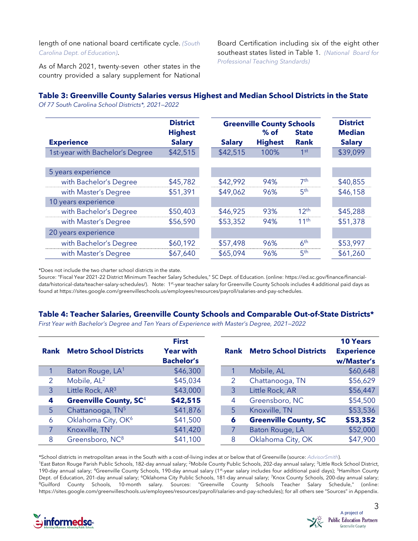length of one national board certificate cycle. *[\(South](https://ed.sc.gov/finance/financial-services/national-board-certification/national-board-payment-guidelines/) Carolina Dept. of [Education\)](https://ed.sc.gov/finance/financial-services/national-board-certification/national-board-payment-guidelines/)*.

Board Certification including six of the eight other southeast states listed in Table 1. *[\(National Board](https://www.nbpts.org/wp-content/uploads/2021/03/State-Incentives-Chart.pdf) for [Professional](https://www.nbpts.org/wp-content/uploads/2021/03/State-Incentives-Chart.pdf) Teaching Standards)*

As of March 2021, twenty-seven other states in the country provided a salary supplement for National

#### **Table 3: Greenville County Salaries versus Highest and Median School Districts in the State**

*Of 77 South Carolina School Districts\*, 2021—2022*

|                                 | <b>District</b> |               | <b>Greenville County Schools</b> |                  | <b>District</b> |
|---------------------------------|-----------------|---------------|----------------------------------|------------------|-----------------|
|                                 | <b>Highest</b>  |               | $%$ of                           | <b>State</b>     | <b>Median</b>   |
| <b>Experience</b>               | <b>Salary</b>   | <b>Salary</b> | <b>Highest</b>                   | <b>Rank</b>      | <b>Salary</b>   |
| 1st-year with Bachelor's Degree | \$42,515        | \$42,515      | 100%                             | 1 <sup>st</sup>  | \$39,099        |
|                                 |                 |               |                                  |                  |                 |
| 5 years experience              |                 |               |                                  |                  |                 |
| with Bachelor's Degree          | \$45,782        | \$42,992      | 94%                              | 7 <sup>th</sup>  | \$40,855        |
| with Master's Degree            | \$51,391        | \$49,062      | 96%                              | 5 <sup>th</sup>  | \$46,158        |
| 10 years experience             |                 |               |                                  |                  |                 |
| with Bachelor's Degree          | \$50,403        | \$46,925      | 93%                              | 12 <sup>th</sup> | \$45,288        |
| with Master's Degree            | \$56,590        | \$53,352      | 94%                              | 11 <sup>th</sup> | \$51,378        |
| 20 years experience             |                 |               |                                  |                  |                 |
| with Bachelor's Degree          | \$60,192        | \$57,498      | 96%                              | 6 <sup>th</sup>  | \$53,997        |
| with Master's Degree            | \$67,640        | \$65,094      | 96%                              | 5 <sup>th</sup>  | \$61,260        |

\*Does not include the two charter school districts in the state.

Source: "Fiscal Year 2021-22 District Minimum Teacher Salary Schedules," SC Dept. of Education. (online: [https://ed.sc.gov/finance/financial](https://ed.sc.gov/finance/financial-data/historical-data/teacher-salary-schedules/)[data/historical-data/teacher-salary-schedules/\)](https://ed.sc.gov/finance/financial-data/historical-data/teacher-salary-schedules/). Note: 1st-year teacher salary for Greenville County Schools includes 4 additional paid days as found at [https://sites.google.com/greenvilleschools.us/employees/resources/payroll/salaries-and-pay-schedules.](https://sites.google.com/greenvilleschools.us/employees/resources/payroll/salaries-and-pay-schedules)

#### **Table 4: Teacher Salaries, Greenville County Schools and Comparable Out-of-State Districts\***

*First Year with Bachelor's Degree and Ten Years of Experience with Master's Degree, 2021—2022*

|                |                                          | <b>First</b>                          |      |                               |
|----------------|------------------------------------------|---------------------------------------|------|-------------------------------|
| <b>Rank</b>    | <b>Metro School Districts</b>            | <b>Year with</b><br><b>Bachelor's</b> | Rank | <b>Metro School Districts</b> |
|                | Baton Rouge, LA <sup>1</sup>             | \$46,300                              |      | Mobile, AL                    |
|                | Mobile, AL <sup>2</sup>                  | \$45,034                              |      | Chattanooga, TN               |
| 3              | Little Rock, AR <sup>3</sup>             | \$43,000                              | 3    | Little Rock, AR               |
| 4              | <b>Greenville County, SC<sup>4</sup></b> | \$42,515                              | 4    | Greensboro, NC                |
| 5 <sup>5</sup> | Chattanooga, TN <sup>5</sup>             | \$41,876                              | 5    | Knoxville, TN                 |
| 6              | Oklahoma City, OK <sup>6</sup>           | \$41,500                              | 6    | <b>Greenville County, SC</b>  |
|                | Knoxville, TN <sup>7</sup>               | \$41,420                              |      | Baton Rouge, LA               |
| 8              | Greensboro, NC <sup>8</sup>              | \$41,100                              | 8    | Oklahoma City, OK             |

\*School districts in metropolitan areas in the South with a cost-of-living index at or below that of Greenville (source: *[AdvisorSmith](https://advisorsmith.com/data/coli/#city)*). <sup>1</sup>East Baton Rouge Parish Public Schools, 182-day annual salary; <sup>2</sup>Mobile County Public Schools, 202-day annual salary; <sup>3</sup>Little Rock School District, 190-day annual salary; <sup>4</sup>Greenville County Schools, 190-day annual salary (1<sup>st</sup>-year salary includes four additional paid days); <sup>5</sup>Hamilton County Dept. of Education, 201-day annual salary; <sup>6</sup>Oklahoma City Public Schools, 181-day annual salary; <sup>7</sup>Knox County Schools, 200-day annual salary; 8Guilford County Schools, 10-month salary. Sources: "Greenville County Schools Teacher Salary Schedule," (online: [https://sites.google.com/greenvilleschools.us/employees/resources/payroll/salaries-and-pay-schedules\)](https://sites.google.com/greenvilleschools.us/employees/resources/payroll/salaries-and-pay-schedules); for all others see "Sources" in Appendix.



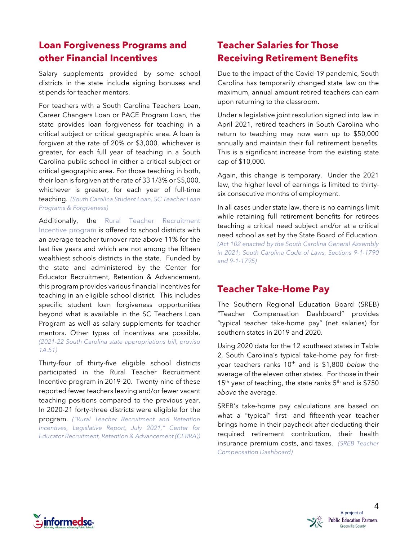# **Loan Forgiveness Programs and other Financial Incentives**

Salary supplements provided by some school districts in the state include signing bonuses and stipends for teacher mentors.

For teachers with a South Carolina Teachers Loan, Career Changers Loan or PACE Program Loan, the state provides loan forgiveness for teaching in a critical subject or critical geographic area. A loan is forgiven at the rate of 20% or \$3,000, whichever is greater, for each full year of teaching in a South Carolina public school in either a critical subject or critical geographic area. For those teaching in both, their loan is forgiven at the rate of 33 1/3% or \$5,000, whichever is greater, for each year of full-time teaching. *(South [Carolina](https://www.scstudentloan.org/students/loanprograms/scteachersloanprograms.aspx) Student Loan, SC Teacher Loan Programs & [Forgiveness\)](https://www.scstudentloan.org/students/loanprograms/scteachersloanprograms.aspx)*

Additionally, the Rural Teacher [Recruitment](https://www.cerra.org/rural-recruitment-initiative.html) [Incentive](https://www.cerra.org/rural-recruitment-initiative.html) program is offered to school districts with an average teacher turnover rate above 11% for the last five years and which are not among the fifteen wealthiest schools districts in the state. Funded by the state and administered by the Center for Educator Recruitment, Retention & Advancement, this program provides various financial incentives for teaching in an eligible school district. This includes specific student loan forgiveness opportunities beyond what is available in the SC Teachers Loan Program as well as salary supplements for teacher mentors. Other types of incentives are possible. *(2021-22 South Carolina state [appropriations](https://www.scstatehouse.gov/sess124_2021-2022/appropriations2021/tap1b.htm#s1a) bill, proviso [1A.51\)](https://www.scstatehouse.gov/sess124_2021-2022/appropriations2021/tap1b.htm#s1a)*

Thirty-four of thirty-five eligible school districts participated in the Rural Teacher Recruitment Incentive program in 2019-20. Twenty-nine of these reported fewer teachers leaving and/or fewer vacant teaching positions compared to the previous year. In 2020-21 forty-three districts were eligible for the

program. *("Rural Teacher [Recruitment](https://www.cerra.org/research.html) and Retention [Incentives,](https://www.cerra.org/research.html) Legislative Report, July 2021," Center for Educator Recruitment, Retention & [Advancement](https://www.cerra.org/research.html) (CERRA))*

# **Teacher Salaries for Those Receiving Retirement Benefits**

Due to the impact of the Covid-19 pandemic, South Carolina has temporarily changed state law on the maximum, annual amount retired teachers can earn upon returning to the classroom.

Under a legislative joint resolution signed into law in April 2021, retired teachers in South Carolina who return to teaching may now earn up to \$50,000 annually and maintain their full retirement benefits. This is a significant increase from the existing state cap of \$10,000.

Again, this change is temporary. Under the 2021 law, the higher level of earnings is limited to thirtysix consecutive months of employment.

In all cases under state law, there is no earnings limit while retaining full retirement benefits for retirees teaching a critical need subject and/or at a critical need school as set by the State Board of Education. *(Act 102 enacted by the South Carolina General [Assembly](https://www.scstatehouse.gov/sess124_2021-2022/bills/704.htm) in [2021](https://www.scstatehouse.gov/sess124_2021-2022/bills/704.htm); South Carolina Code of Laws, Sections [9-1-1790](https://www.scstatehouse.gov/code/title9.php) and [9-1-1795\)](https://www.scstatehouse.gov/code/title9.php)*

# **Teacher Take-Home Pay**

The Southern Regional Education Board (SREB) "Teacher Compensation Dashboard" provides "typical teacher take-home pay" (net salaries) for southern states in 2019 and 2020.

Using 2020 data for the 12 southeast states in Table 2, South Carolina's typical take-home pay for firstyear teachers ranks 10<sup>th</sup> and is \$1,800 *below* the average of the eleven other states. For those in their  $15<sup>th</sup>$  year of teaching, the state ranks  $5<sup>th</sup>$  and is \$750 *above* the average.

SREB's take-home pay calculations are based on what a "typical" first- and fifteenth-year teacher brings home in their paycheck after deducting their required retirement contribution, their health insurance premium costs, and taxes. *(SREB [Teacher](https://www.sreb.org/interactive/teacher-compensation-dashboard) [Compensation](https://www.sreb.org/interactive/teacher-compensation-dashboard) Dashboard)*

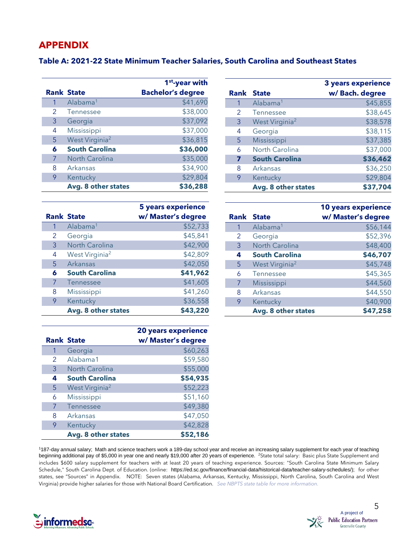#### **APPENDIX**

#### **Table A: 2021-22 State Minimum Teacher Salaries, South Carolina and Southeast States**

|   |                            | 1 <sup>st</sup> -year with |
|---|----------------------------|----------------------------|
|   | <b>Rank State</b>          | <b>Bachelor's degree</b>   |
| 1 | Alabama <sup>1</sup>       | \$41,690                   |
| 2 | <b>Tennessee</b>           | \$38,000                   |
| 3 | Georgia                    | \$37,092                   |
| 4 | Mississippi                | \$37,000                   |
| 5 | West Virginia <sup>2</sup> | \$36,815                   |
| 6 | <b>South Carolina</b>      | \$36,000                   |
| 7 | <b>North Carolina</b>      | \$35,000                   |
| 8 | Arkansas                   | \$34,900                   |
| 9 | Kentucky                   | \$29,804                   |
|   | Avg. 8 other states        | \$36,288                   |

|   |                            | <b>3 years experience</b> |
|---|----------------------------|---------------------------|
|   | <b>Rank State</b>          | w/Bach. degree            |
| 1 | Alabama <sup>1</sup>       | \$45,855                  |
| 2 | Tennessee                  | \$38,645                  |
| 3 | West Virginia <sup>2</sup> | \$38,578                  |
| 4 | Georgia                    | \$38,115                  |
| 5 | Mississippi                | \$37,385                  |
| 6 | North Carolina             | \$37,000                  |
| 7 | <b>South Carolina</b>      | \$36,462                  |
| 8 | Arkansas                   | \$36,250                  |
| 9 | Kentucky                   | \$29,804                  |
|   | Avg. 8 other states        | \$37,704                  |

|   |                            | <b>5 years experience</b> |
|---|----------------------------|---------------------------|
|   | <b>Rank State</b>          | w/ Master's degree        |
| 1 | Alabama <sup>1</sup>       | \$52,733                  |
| 2 | Georgia                    | \$45,841                  |
| 3 | North Carolina             | \$42,900                  |
| 4 | West Virginia <sup>2</sup> | \$42,809                  |
| 5 | <b>Arkansas</b>            | \$42,050                  |
| 6 | <b>South Carolina</b>      | \$41,962                  |
| 7 | Tennessee                  | \$41,605                  |
| 8 | Mississippi                | \$41,260                  |
| 9 | Kentucky                   | \$36,558                  |
|   | Avg. 8 other states        | \$43,220                  |

|   |                            | <b>20 years experience</b> |
|---|----------------------------|----------------------------|
|   | <b>Rank State</b>          | w/ Master's degree         |
|   | Georgia                    | \$60,263                   |
| 2 | Alabama1                   | \$59,580                   |
| 3 | North Carolina             | \$55,000                   |
| 4 | <b>South Carolina</b>      | \$54,935                   |
| 5 | West Virginia <sup>2</sup> | \$52,223                   |
| 6 | Mississippi                | \$51,160                   |
| 7 | Tennessee                  | \$49,380                   |
| 8 | Arkansas                   | \$47,050                   |
| 9 | Kentucky                   | \$42,828                   |
|   | Avg. 8 other states        | \$52,186                   |

|   |                            | <b>10 years experience</b> |
|---|----------------------------|----------------------------|
|   | <b>Rank State</b>          | w/ Master's degree         |
| 1 | Alabama <sup>1</sup>       | \$56,144                   |
| 2 | Georgia                    | \$52,396                   |
| 3 | North Carolina             | \$48,400                   |
| 4 | <b>South Carolina</b>      | \$46,707                   |
| 5 | West Virginia <sup>2</sup> | \$45,748                   |
| 6 | Tennessee                  | \$45,365                   |
| 7 | Mississippi                | \$44,560                   |
| 8 | Arkansas                   | \$44,550                   |
| 9 | Kentucky                   | \$40,900                   |
|   | Avg. 8 other states        | \$47,258                   |

187-day annual salary; Math and science teachers work a 189-day school year and receive an increasing salary supplement for each year of teaching beginning additional pay of \$5,000 in year one and nearly \$19,000 after 20 years of experience. <sup>2</sup>State total salary: Basic plus State Supplement and includes \$600 salary supplement for teachers with at least 20 years of teaching experience. Sources: "South Carolina State Minimum Salary Schedule," South Carolina Dept. of Education. (online: [https://ed.sc.gov/finance/financial-data/historical-data/teacher-salary-schedules/\)](https://ed.sc.gov/finance/financial-data/historical-data/teacher-salary-schedules/); for other states, see "Sources" in Appendix. NOTE: Seven states (Alabama, Arkansas, Kentucky, Mississippi, North Carolina, South Carolina and West Virginia) provide higher salaries for those with National Board Certification. *See NBPTS state table for more [information.](https://www.nbpts.org/wp-content/uploads/2021/03/State-Incentives-Chart.pdf)*

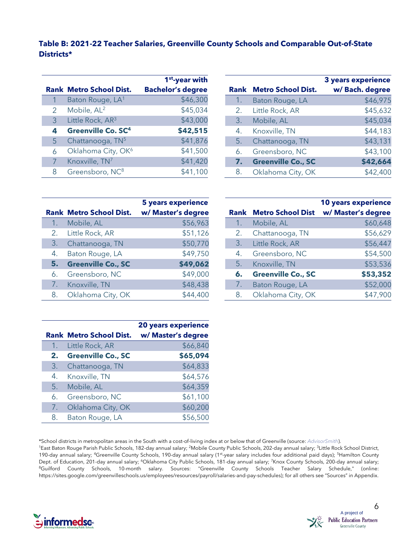#### **Table B: 2021-22 Teacher Salaries, Greenville County Schools and Comparable Out-of-State Districts\***

|               |                                      | 1 <sup>st</sup> -year with |
|---------------|--------------------------------------|----------------------------|
|               | <b>Rank Metro School Dist.</b>       | <b>Bachelor's degree</b>   |
|               | Baton Rouge, LA <sup>1</sup>         | \$46,300                   |
| $\mathcal{P}$ | Mobile, AL <sup>2</sup>              | \$45,034                   |
| 3             | Little Rock, AR3                     | \$43,000                   |
| 4             | <b>Greenville Co. SC<sup>4</sup></b> | \$42,515                   |
| 5             | Chattanooga, TN <sup>5</sup>         | \$41,876                   |
| 6             | Oklahoma City, OK <sup>6</sup>       | \$41,500                   |
|               | Knoxville, TN <sup>7</sup>           | \$41,420                   |
| 8             | Greensboro, NC <sup>8</sup>          | \$41,100                   |

|                |                                | <b>3 years experience</b> |
|----------------|--------------------------------|---------------------------|
|                | <b>Rank Metro School Dist.</b> | w/Bach. degree            |
| 1 <sub>1</sub> | Baton Rouge, LA                | \$46,975                  |
| 2.             | Little Rock, AR                | \$45,632                  |
| 3.             | Mobile, AL                     | \$45,034                  |
| 4.             | Knoxville, TN                  | \$44,183                  |
| 5.             | Chattanooga, TN                | \$43,131                  |
| 6.             | Greensboro, NC                 | \$43,100                  |
| 7.             | <b>Greenville Co., SC</b>      | \$42,664                  |
| 8.             | Oklahoma City, OK              | \$42,400                  |

|    | <b>Rank Metro School Dist.</b> | <b>5 years experience</b><br>w/ Master's degree |    | <b>Rank Metro School Dist</b> | <b>10 years experience</b><br>w/ Master's degree |
|----|--------------------------------|-------------------------------------------------|----|-------------------------------|--------------------------------------------------|
|    | Mobile, AL                     | \$56,963                                        |    | Mobile, AL                    | \$60,648                                         |
|    | Little Rock, AR                | \$51,126                                        |    | Chattanooga, TN               | \$56,629                                         |
| 3. | Chattanooga, TN                | \$50,770                                        | 3. | Little Rock, AR               | \$56,447                                         |
| 4. | Baton Rouge, LA                | \$49,750                                        | 4. | Greensboro, NC                | \$54,500                                         |
| 5. | <b>Greenville Co., SC</b>      | \$49,062                                        | 5. | Knoxville, TN                 | \$53,536                                         |
| 6. | Greensboro, NC                 | \$49,000                                        | 6. | <b>Greenville Co., SC</b>     | \$53,352                                         |
|    | Knoxville, TN                  | \$48,438                                        |    | Baton Rouge, LA               | \$52,000                                         |
| 8. | Oklahoma City, OK              | \$44,400                                        | 8. | Oklahoma City, OK             | \$47,900                                         |

|    |                                | <b>20 years experience</b> |
|----|--------------------------------|----------------------------|
|    | <b>Rank Metro School Dist.</b> | w/ Master's degree         |
| 1. | Little Rock, AR                | \$66,840                   |
| 2. | <b>Greenville Co., SC</b>      | \$65,094                   |
| 3. | Chattanooga, TN                | \$64,833                   |
| 4. | Knoxville, TN                  | \$64,576                   |
| 5. | Mobile, AL                     | \$64,359                   |
| 6. | Greensboro, NC                 | \$61,100                   |
| 7. | Oklahoma City, OK              | \$60,200                   |
| 8. | Baton Rouge, LA                | \$56,500                   |

|  | *School districts in metropolitan areas in the South with a cost-of-living index at or below that of Greenville (source: AdvisorSmith). |  |
|--|-----------------------------------------------------------------------------------------------------------------------------------------|--|
|  |                                                                                                                                         |  |

<sup>1</sup>East Baton Rouge Parish Public Schools, 182-day annual salary; <sup>2</sup>Mobile County Public Schools, 202-day annual salary; <sup>3</sup>Little Rock School District, 190-day annual salary; <sup>4</sup>Greenville County Schools, 190-day annual salary (1<sup>st</sup>-year salary includes four additional paid days); <sup>5</sup>Hamilton County Dept. of Education, 201-day annual salary; <sup>6</sup>Oklahoma City Public Schools, 181-day annual salary; <sup>7</sup>Knox County Schools, 200-day annual salary; <sup>8</sup>Guilford County Schools, 10-month salary. Sources: "Greenville County Schools Teacher Salary Schedule," (online: [https://sites.google.com/greenvilleschools.us/employees/resources/payroll/salaries-and-pay-schedules\)](https://sites.google.com/greenvilleschools.us/employees/resources/payroll/salaries-and-pay-schedules); for all others see "Sources" in Appendix.